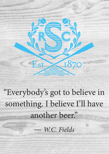"Everybody's got to believe in something. I believe I'll have another beer." — *W.C. Fields*

Est

T87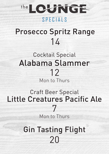

### SPECIALS

# Prosecco Spritz Range 14

## Cocktail Special Alabama Slammer 12 Mon to Thurs

## Craft Beer Special Little Creatures Pacific Ale 7

Mon to Thurs

# Gin Tasting Flight 20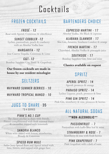# Cocktails

### FROZEN COCKTAILS

*FROSÉ - 12* Rosé with Aperol, Cointreau & elderflower

*SUNSET COBBLER -12* Lychee, passionfruit, peach & cranberry with an Absolut Vodka base

*MARGARITA - 12* Jose Cuervo Tequila, Cointreau & Lime

*G&T- 12* Bombay Sapphire Gin, Tonic & Grapefruit

**Our frozen cocktails are made in house by our resident mixologist**

### SELTZERS

*WAYWARD SUMMER BERRIES - 10*

*WAYWARD TROPICAL MANGO - 10*

#### JUGS TO SHARE - 35 \*3-4 SERVES

#### *PIMM'S NO.1 CUP*

The classic pitcher to share with friends. Pimm's complimented with fresh seasonal fruits & cucumber, topped with lemonade

#### *SANGRIA BLANCO*

White wine mixed with lemon, strawberries, Brandy & Cointreau

#### *SPICED RUM MULE*

Sailor Jerry Spiced Rum and Aperol mixed with lime, bitters, and topped with ginger beer

### BARTENDERS CHOICE

*ESPRESSO MARTINI - 17* Absolut Vodka, Mr Black & espresso

*ALABAMA SLAMMER - 17* Sloe Gin, Amareto, Southern Comfort & orange

*FRENCH MARTINI - 17* Chambord, Absolut Vodka & pineapple juice

*SOUTHSIDE - 17* Bombay Sapphire Gin, lime and mint

**Classics available on request**

### SPRITZ

*APEROL SPRITZ - 14* Aperol, prosecco & orange

*PARAISO SPRITZ - 14* Lychee Liqueur, peach, prosecco & lime

*PINK GIN SPRITZ - 14* Pink Gin, strawberry & rose, prosecco & berries

## ALL NATURAL SODAS

#### \*\*NON-ALCOHOLIC\*\*

*PASSIONFRUIT - 7* Passionfruit with kaffir lime leaf & mint

*STRAWBERRY & ROSE - 7* Strawberry & rose with fresh berries

*PINK GRAPEFRUIT - 7* Pink Grapefruit with a dash of tonic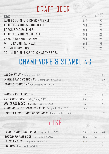# CRAFT BEER

| <b>TAP</b>                           | 425ml | 1275ml<br><b>Beer Kettle</b> |
|--------------------------------------|-------|------------------------------|
| JAMES SQUIRE MID RIVER PALE ALE      | 8.4   | 23                           |
| LITTLE CREATURES PACIFIC ALE         | 9.1   | 25                           |
| KOSCIUSZKO PALE ALE                  | 9.1   | 25                           |
| LITTLE CREATURES PALE ALE            | 9.1   | 25                           |
| AKASHA CANADA BAY XPA                | 9.1   | 25                           |
| WHITE RABBIT DARK ALE                | 9.1   | 25                           |
| YOUNG HENRYS IPA                     | 9.3   | 25                           |
| ?? LIMITED RELEASE ?? ASK AT THE BAR |       |                              |

## CHAMPAGNE & SPARKLING

| JACQUART NV Champagne FRANCE                      |      | 85  |
|---------------------------------------------------|------|-----|
| <b>MUMM GRAND CORDON NV</b> Champagne FRANCE      |      | 99  |
| VEUVE CLICQUOT NV Champagne FRANCE                |      | 120 |
| <b>MOORES CREEK BRUT AUS</b>                      | 8.5  | 38  |
| <b>EMILY BRUT CUVÉE</b> King Valley VIC           | 9.5  | 41  |
| <b>DIVICI PROSECCO *organic</b> Veneto ITALY      | 10.7 | 51  |
| LOUIS BOUILLOT SPARKLING ROSÉ Burgundy FRANCE     | 11.7 | 57  |
| TYRRELL'S PINOT NOIR CHARDONNAY Hunter Valley NSW |      | 59  |

# ROSÉ

|                                           | 150ml 250ml Btl |    |
|-------------------------------------------|-----------------|----|
| BESIDE BROKE ROAD ROSÉ Margaret River WA  | 9.4 14.4 44     |    |
| <b>BOUCHARD AINÉ ROSÉ Burgundy FRANCE</b> | 10.2 15.2 46    |    |
| LA VIE EN ROSÉ Languedoc FRANCE           | 11.4 16.4 51    |    |
| ÉTÉ ROSÉ Provence FRANCE                  |                 | 56 |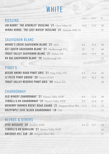# **WHITE**

| RIESLING                                                        | 150ml       | 250ml | <b>Btl</b> |
|-----------------------------------------------------------------|-------------|-------|------------|
| JIM BARRY 'THE ATHERLEY' RIESLING '21 Clare Valley SA           | 10.4        | 15.9  | 50         |
| WIRRA WIRRA 'THE LOST WATCH' RIESLING '21 Adelaide Hills SA     |             |       | 57         |
|                                                                 |             |       |            |
| SAUVIGNON BLANC                                                 |             |       |            |
| <b>MOORE'S CREEK SAUVIGNON BLANC '21 AUS</b>                    | 8.4         | 12.4  | 38         |
| 821 SOUTH SAUVIGNON BLANC '21 Marlborough NZ                    | $10-10$     | 15    | 48         |
| <b>TROUT VALLEY SAUVIGNON BLANC '21 Nelson NZ</b>               | $10.4$ 15.9 |       | 50         |
| RA NUI SAUVIGNON BLANC '20 Marlborough NZ                       |             |       | 52         |
|                                                                 |             |       |            |
| PINOT'S                                                         |             |       |            |
| <b>BESIDE BROKE ROAD PINOT GRIS '21 King Valley VIC</b>         | 9.4         | 14.4  | 44         |
| LE PEZZE PINOT GRIGIO '20 Veneto ITALY                          | 10.7        | 16.2  | 49         |
| TROUT VALLEY RESERVE PINOT GRIS '20 Nelson NZ                   |             |       | 58         |
|                                                                 |             |       |            |
| CHARDONNAY                                                      |             |       |            |
| OLD WINERY CHARDONNAY '21 Hunter Valley NSW                     | 8.4         | 12.4  | 38         |
| TYRRELL'S HV CHARDONNAY '21 Hunter Valley NSW                   | 9.9         | 15.4  | 47         |
| MCHENRY HOHNEN ROCKY ROAD CHARD '21 Margaret River WA 11.5 17.2 |             |       | 52         |
| DALRYMPLE CAVE BLOCK CHARDONNAY '19 TAS                         |             |       | 71         |
|                                                                 |             |       |            |
| <b>BLENDS &amp; OTHERS</b>                                      |             |       |            |
| VIVO MOSCATO '20 Riverina NSW                                   | 8.4 12.7    |       | 39         |
| TYRRELL'S HV SEMILLON '21 Hunter Valley NSW                     |             |       | 48         |
| HAYSHED HILL SSB '20 Margaret River WA                          |             |       | 51         |
|                                                                 |             |       |            |